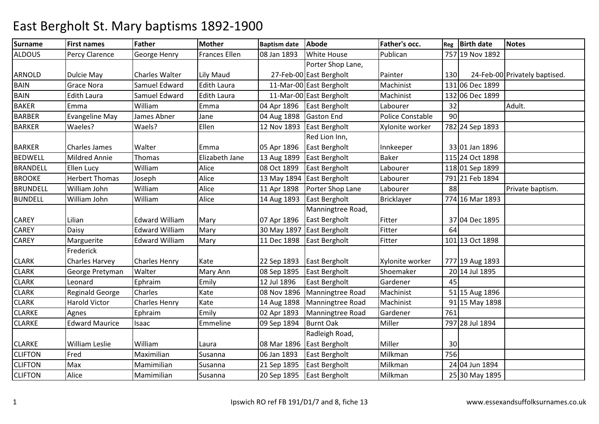| <b>Surname</b>  | <b>First names</b>    | Father                | <b>Mother</b>        | <b>Baptism date</b> | Abode                     | Father's occ.     | Reg | <b>Birth date</b> | <b>Notes</b>                  |
|-----------------|-----------------------|-----------------------|----------------------|---------------------|---------------------------|-------------------|-----|-------------------|-------------------------------|
| <b>ALDOUS</b>   | Percy Clarence        | George Henry          | <b>Frances Ellen</b> | 08 Jan 1893         | <b>White House</b>        | Publican          |     | 757 19 Nov 1892   |                               |
|                 |                       |                       |                      |                     | Porter Shop Lane,         |                   |     |                   |                               |
| <b>ARNOLD</b>   | Dulcie May            | <b>Charles Walter</b> | Lily Maud            |                     | 27-Feb-00 East Bergholt   | Painter           | 130 |                   | 24-Feb-00 Privately baptised. |
| <b>BAIN</b>     | <b>Grace Nora</b>     | Samuel Edward         | <b>Edith Laura</b>   |                     | 11-Mar-00 East Bergholt   | Machinist         |     | 131 06 Dec 1899   |                               |
| <b>BAIN</b>     | <b>Edith Laura</b>    | Samuel Edward         | <b>Edith Laura</b>   |                     | 11-Mar-00 East Bergholt   | Machinist         |     | 132 06 Dec 1899   |                               |
| <b>BAKER</b>    | Emma                  | William               | Emma                 |                     | 04 Apr 1896 East Bergholt | Labourer          | 32  |                   | Adult.                        |
| <b>BARBER</b>   | <b>Evangeline May</b> | James Abner           | Jane                 | 04 Aug 1898         | <b>Gaston End</b>         | Police Constable  | 90  |                   |                               |
| <b>BARKER</b>   | Waeles?               | Waels?                | Ellen                | 12 Nov 1893         | <b>East Bergholt</b>      | Xylonite worker   |     | 782 24 Sep 1893   |                               |
|                 |                       |                       |                      |                     | Red Lion Inn,             |                   |     |                   |                               |
| <b>BARKER</b>   | <b>Charles James</b>  | Walter                | Emma                 | 05 Apr 1896         | East Bergholt             | Innkeeper         |     | 33 01 Jan 1896    |                               |
| <b>BEDWELL</b>  | Mildred Annie         | Thomas                | Elizabeth Jane       | 13 Aug 1899         | East Bergholt             | Baker             |     | 115 24 Oct 1898   |                               |
| <b>BRANDELL</b> | Ellen Lucy            | William               | Alice                | 08 Oct 1899         | East Bergholt             | Labourer          |     | 118 01 Sep 1899   |                               |
| <b>BROOKE</b>   | <b>Herbert Thomas</b> | Joseph                | Alice                | 13 May 1894         | East Bergholt             | Labourer          |     | 791 21 Feb 1894   |                               |
| <b>BRUNDELL</b> | William John          | William               | Alice                | 11 Apr 1898         | Porter Shop Lane          | Labourer          | 88  |                   | Private baptism.              |
| <b>BUNDELL</b>  | William John          | William               | Alice                | 14 Aug 1893         | East Bergholt             | <b>Bricklayer</b> |     | 774 16 Mar 1893   |                               |
|                 |                       |                       |                      |                     | Manningtree Road,         |                   |     |                   |                               |
| CAREY           | Lilian                | <b>Edward William</b> | Mary                 | 07 Apr 1896         | East Bergholt             | Fitter            |     | 37 04 Dec 1895    |                               |
| CAREY           | Daisy                 | <b>Edward William</b> | Mary                 |                     | 30 May 1897 East Bergholt | Fitter            | 64  |                   |                               |
| <b>CAREY</b>    | Marguerite            | <b>Edward William</b> | Mary                 | 11 Dec 1898         | East Bergholt             | Fitter            |     | 101 13 Oct 1898   |                               |
|                 | Frederick             |                       |                      |                     |                           |                   |     |                   |                               |
| <b>CLARK</b>    | <b>Charles Harvey</b> | <b>Charles Henry</b>  | Kate                 | 22 Sep 1893         | East Bergholt             | Xylonite worker   |     | 777 19 Aug 1893   |                               |
| <b>CLARK</b>    | George Pretyman       | Walter                | Mary Ann             | 08 Sep 1895         | East Bergholt             | Shoemaker         |     | 20 14 Jul 1895    |                               |
| <b>CLARK</b>    | Leonard               | Ephraim               | Emily                | 12 Jul 1896         | East Bergholt             | Gardener          | 45  |                   |                               |
| <b>CLARK</b>    | Reginald George       | Charles               | Kate                 | 08 Nov 1896         | Manningtree Road          | Machinist         |     | 51 15 Aug 1896    |                               |
| <b>CLARK</b>    | <b>Harold Victor</b>  | <b>Charles Henry</b>  | Kate                 | 14 Aug 1898         | Manningtree Road          | Machinist         |     | 91 15 May 1898    |                               |
| <b>CLARKE</b>   | Agnes                 | Ephraim               | Emily                | 02 Apr 1893         | Manningtree Road          | Gardener          | 761 |                   |                               |
| <b>CLARKE</b>   | <b>Edward Maurice</b> | Isaac                 | Emmeline             | 09 Sep 1894         | <b>Burnt Oak</b>          | Miller            |     | 797 28 Jul 1894   |                               |
|                 |                       |                       |                      |                     | Radleigh Road,            |                   |     |                   |                               |
| <b>CLARKE</b>   | <b>William Leslie</b> | William               | Laura                | 08 Mar 1896         | East Bergholt             | Miller            | 30  |                   |                               |
| <b>CLIFTON</b>  | Fred                  | Maximilian            | Susanna              | 06 Jan 1893         | East Bergholt             | Milkman           | 756 |                   |                               |
| <b>CLIFTON</b>  | Max                   | Mamimilian            | Susanna              | 21 Sep 1895         | East Bergholt             | Milkman           |     | 24 04 Jun 1894    |                               |
| <b>CLIFTON</b>  | Alice                 | Mamimilian            | Susanna              | 20 Sep 1895         | East Bergholt             | Milkman           |     | 25 30 May 1895    |                               |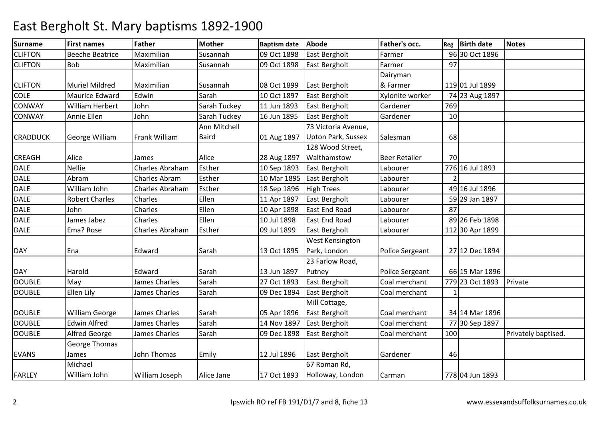| <b>Surname</b>  | <b>First names</b>     | Father                 | <b>Mother</b> | <b>Baptism date</b> | <b>Abode</b>              | <b>Father's occ.</b>   | Reg | <b>Birth date</b> | <b>Notes</b>        |
|-----------------|------------------------|------------------------|---------------|---------------------|---------------------------|------------------------|-----|-------------------|---------------------|
| <b>CLIFTON</b>  | <b>Beeche Beatrice</b> | Maximilian             | Susannah      | 09 Oct 1898         | East Bergholt             | Farmer                 |     | 96 30 Oct 1896    |                     |
| <b>CLIFTON</b>  | Bob                    | Maximilian             | Susannah      | 09 Oct 1898         | East Bergholt             | Farmer                 | 97  |                   |                     |
|                 |                        |                        |               |                     |                           | Dairyman               |     |                   |                     |
| <b>CLIFTON</b>  | <b>Muriel Mildred</b>  | Maximilian             | Susannah      | 08 Oct 1899         | East Bergholt             | & Farmer               |     | 119 01 Jul 1899   |                     |
| <b>COLE</b>     | <b>Maurice Edward</b>  | Edwin                  | Sarah         | 10 Oct 1897         | East Bergholt             | Xylonite worker        |     | 74 23 Aug 1897    |                     |
| <b>CONWAY</b>   | <b>William Herbert</b> | John                   | Sarah Tuckey  | 11 Jun 1893         | East Bergholt             | Gardener               | 769 |                   |                     |
| <b>CONWAY</b>   | Annie Ellen            | John                   | Sarah Tuckey  | 16 Jun 1895         | East Bergholt             | Gardener               | 10  |                   |                     |
|                 |                        |                        | Ann Mitchell  |                     | 73 Victoria Avenue,       |                        |     |                   |                     |
| <b>CRADDUCK</b> | George William         | Frank William          | <b>Baird</b>  | 01 Aug 1897         | <b>Upton Park, Sussex</b> | Salesman               | 68  |                   |                     |
|                 |                        |                        |               |                     | 128 Wood Street,          |                        |     |                   |                     |
| <b>CREAGH</b>   | Alice                  | James                  | Alice         | 28 Aug 1897         | Walthamstow               | <b>Beer Retailer</b>   | 70  |                   |                     |
| <b>DALE</b>     | <b>Nellie</b>          | Charles Abraham        | Esther        | 10 Sep 1893         | East Bergholt             | Labourer               |     | 776 16 Jul 1893   |                     |
| <b>DALE</b>     | Abram                  | Charles Abram          | Esther        | 10 Mar 1895         | East Bergholt             | Labourer               |     |                   |                     |
| <b>DALE</b>     | William John           | <b>Charles Abraham</b> | Esther        | 18 Sep 1896         | <b>High Trees</b>         | Labourer               |     | 49 16 Jul 1896    |                     |
| <b>DALE</b>     | <b>Robert Charles</b>  | Charles                | Ellen         | 11 Apr 1897         | East Bergholt             | Labourer               |     | 59 29 Jan 1897    |                     |
| <b>DALE</b>     | John                   | Charles                | Ellen         | 10 Apr 1898         | <b>East End Road</b>      | Labourer               | 87  |                   |                     |
| <b>DALE</b>     | James Jabez            | Charles                | Ellen         | 10 Jul 1898         | <b>East End Road</b>      | Labourer               |     | 89 26 Feb 1898    |                     |
| <b>DALE</b>     | Ema? Rose              | Charles Abraham        | Esther        | 09 Jul 1899         | East Bergholt             | Labourer               |     | 112 30 Apr 1899   |                     |
|                 |                        |                        |               |                     | West Kensington           |                        |     |                   |                     |
| <b>DAY</b>      | Ena                    | Edward                 | Sarah         | 13 Oct 1895         | Park, London              | Police Sergeant        |     | 27 12 Dec 1894    |                     |
|                 |                        |                        |               |                     | 23 Farlow Road,           |                        |     |                   |                     |
| <b>DAY</b>      | Harold                 | Edward                 | Sarah         | 13 Jun 1897         | Putney                    | <b>Police Sergeant</b> |     | 66 15 Mar 1896    |                     |
| <b>DOUBLE</b>   | May                    | James Charles          | Sarah         | 27 Oct 1893         | East Bergholt             | Coal merchant          |     | 779 23 Oct 1893   | Private             |
| <b>DOUBLE</b>   | <b>Ellen Lily</b>      | James Charles          | Sarah         | 09 Dec 1894         | East Bergholt             | Coal merchant          |     |                   |                     |
|                 |                        |                        |               |                     | Mill Cottage,             |                        |     |                   |                     |
| <b>DOUBLE</b>   | <b>William George</b>  | James Charles          | Sarah         | 05 Apr 1896         | East Bergholt             | Coal merchant          |     | 34 14 Mar 1896    |                     |
| <b>DOUBLE</b>   | <b>Edwin Alfred</b>    | James Charles          | Sarah         | 14 Nov 1897         | East Bergholt             | Coal merchant          |     | 77 30 Sep 1897    |                     |
| <b>DOUBLE</b>   | <b>Alfred George</b>   | James Charles          | Sarah         | 09 Dec 1898         | East Bergholt             | Coal merchant          | 100 |                   | Privately baptised. |
|                 | George Thomas          |                        |               |                     |                           |                        |     |                   |                     |
| <b>EVANS</b>    | James                  | John Thomas            | Emily         | 12 Jul 1896         | East Bergholt             | Gardener               | 46  |                   |                     |
|                 | Michael                |                        |               |                     | 67 Roman Rd,              |                        |     |                   |                     |
| <b>FARLEY</b>   | William John           | William Joseph         | Alice Jane    | 17 Oct 1893         | Holloway, London          | Carman                 |     | 778 04 Jun 1893   |                     |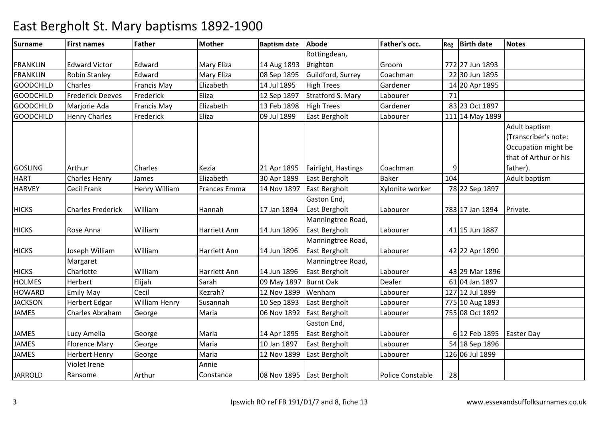| <b>Surname</b>   | <b>First names</b>       | Father               | <b>Mother</b> | <b>Baptism date</b> | <b>Abode</b>              | <b>Father's occ.</b>    | Reg | <b>Birth date</b> | <b>Notes</b>          |
|------------------|--------------------------|----------------------|---------------|---------------------|---------------------------|-------------------------|-----|-------------------|-----------------------|
|                  |                          |                      |               |                     | Rottingdean,              |                         |     |                   |                       |
| <b>FRANKLIN</b>  | <b>Edward Victor</b>     | Edward               | Mary Eliza    | 14 Aug 1893         | Brighton                  | Groom                   |     | 772 27 Jun 1893   |                       |
| <b>FRANKLIN</b>  | <b>Robin Stanley</b>     | Edward               | Mary Eliza    | 08 Sep 1895         | Guildford, Surrey         | Coachman                |     | 22 30 Jun 1895    |                       |
| <b>GOODCHILD</b> | Charles                  | <b>Francis May</b>   | Elizabeth     | 14 Jul 1895         | <b>High Trees</b>         | Gardener                |     | 14 20 Apr 1895    |                       |
| <b>GOODCHILD</b> | <b>Frederick Deeves</b>  | Frederick            | Eliza         | 12 Sep 1897         | <b>Stratford S. Mary</b>  | Labourer                | 71  |                   |                       |
| <b>GOODCHILD</b> | Marjorie Ada             | <b>Francis May</b>   | Elizabeth     | 13 Feb 1898         | <b>High Trees</b>         | Gardener                |     | 83 23 Oct 1897    |                       |
| <b>GOODCHILD</b> | <b>Henry Charles</b>     | Frederick            | Eliza         | 09 Jul 1899         | East Bergholt             | Labourer                |     | 111 14 May 1899   |                       |
|                  |                          |                      |               |                     |                           |                         |     |                   | Adult baptism         |
|                  |                          |                      |               |                     |                           |                         |     |                   | (Transcriber's note:  |
|                  |                          |                      |               |                     |                           |                         |     |                   | Occupation might be   |
|                  |                          |                      |               |                     |                           |                         |     |                   | that of Arthur or his |
| <b>GOSLING</b>   | Arthur                   | <b>Charles</b>       | Kezia         | 21 Apr 1895         | Fairlight, Hastings       | Coachman                |     |                   | father).              |
| <b>HART</b>      | <b>Charles Henry</b>     | James                | Elizabeth     | 30 Apr 1899         | East Bergholt             | <b>Baker</b>            | 104 |                   | Adult baptism         |
| <b>HARVEY</b>    | Cecil Frank              | <b>Henry William</b> | Frances Emma  | 14 Nov 1897         | East Bergholt             | Xylonite worker         |     | 78 22 Sep 1897    |                       |
|                  |                          |                      |               |                     | Gaston End,               |                         |     |                   |                       |
| <b>HICKS</b>     | <b>Charles Frederick</b> | William              | Hannah        | 17 Jan 1894         | East Bergholt             | Labourer                |     | 783 17 Jan 1894   | Private.              |
|                  |                          |                      |               |                     | Manningtree Road,         |                         |     |                   |                       |
| <b>HICKS</b>     | Rose Anna                | William              | Harriett Ann  | 14 Jun 1896         | East Bergholt             | Labourer                |     | 41 15 Jun 1887    |                       |
|                  |                          |                      |               |                     | Manningtree Road,         |                         |     |                   |                       |
| <b>HICKS</b>     | Joseph William           | William              | Harriett Ann  | 14 Jun 1896         | East Bergholt             | Labourer                |     | 42 22 Apr 1890    |                       |
|                  | Margaret                 |                      |               |                     | Manningtree Road,         |                         |     |                   |                       |
| <b>HICKS</b>     | Charlotte                | William              | Harriett Ann  | 14 Jun 1896         | East Bergholt             | Labourer                |     | 43 29 Mar 1896    |                       |
| <b>HOLMES</b>    | Herbert                  | Elijah               | Sarah         | 09 May 1897         | <b>Burnt Oak</b>          | Dealer                  |     | 61 04 Jan 1897    |                       |
| <b>HOWARD</b>    | <b>Emily May</b>         | Cecil                | Kezrah?       | 12 Nov 1899         | Wenham                    | Labourer                |     | 127 12 Jul 1899   |                       |
| <b>JACKSON</b>   | <b>Herbert Edgar</b>     | <b>William Henry</b> | Susannah      | 10 Sep 1893         | East Bergholt             | Labourer                |     | 775 10 Aug 1893   |                       |
| <b>JAMES</b>     | Charles Abraham          | George               | Maria         | 06 Nov 1892         | East Bergholt             | Labourer                |     | 755 08 Oct 1892   |                       |
|                  |                          |                      |               |                     | Gaston End,               |                         |     |                   |                       |
| <b>JAMES</b>     | Lucy Amelia              | George               | Maria         | 14 Apr 1895         | East Bergholt             | Labourer                |     | 6 12 Feb 1895     | <b>Easter Day</b>     |
| <b>JAMES</b>     | <b>Florence Mary</b>     | George               | Maria         | 10 Jan 1897         | East Bergholt             | Labourer                |     | 54 18 Sep 1896    |                       |
| <b>JAMES</b>     | <b>Herbert Henry</b>     | George               | Maria         | 12 Nov 1899         | East Bergholt             | Labourer                |     | 126 06 Jul 1899   |                       |
|                  | Violet Irene             |                      | Annie         |                     |                           |                         |     |                   |                       |
| <b>JARROLD</b>   | Ransome                  | Arthur               | Constance     |                     | 08 Nov 1895 East Bergholt | <b>Police Constable</b> | 28  |                   |                       |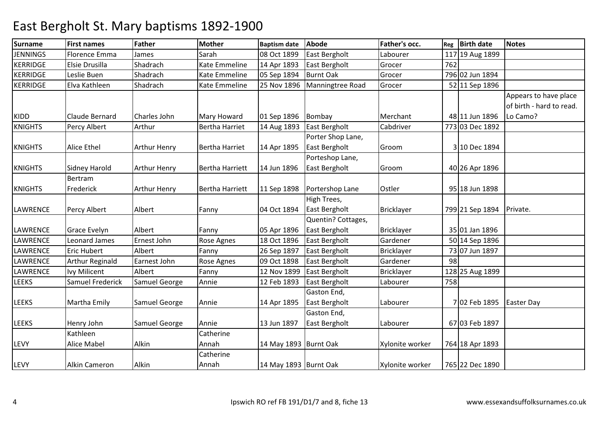| <b>Surname</b>  | <b>First names</b>     | <b>Father</b>       | <b>Mother</b>          | <b>Baptism date</b>   | <b>Abode</b>         | Father's occ.     | Reg | <b>Birth date</b> | <b>Notes</b>             |
|-----------------|------------------------|---------------------|------------------------|-----------------------|----------------------|-------------------|-----|-------------------|--------------------------|
| <b>JENNINGS</b> | Florence Emma          | James               | Sarah                  | 08 Oct 1899           | East Bergholt        | Labourer          |     | 117 19 Aug 1899   |                          |
| <b>KERRIDGE</b> | Elsie Drusilla         | Shadrach            | Kate Emmeline          | 14 Apr 1893           | East Bergholt        | Grocer            | 762 |                   |                          |
| <b>KERRIDGE</b> | Leslie Buen            | Shadrach            | Kate Emmeline          | 05 Sep 1894           | <b>Burnt Oak</b>     | Grocer            |     | 796 02 Jun 1894   |                          |
| <b>KERRIDGE</b> | Elva Kathleen          | Shadrach            | Kate Emmeline          | 25 Nov 1896           | Manningtree Road     | Grocer            |     | 52 11 Sep 1896    |                          |
|                 |                        |                     |                        |                       |                      |                   |     |                   | Appears to have place    |
|                 |                        |                     |                        |                       |                      |                   |     |                   | of birth - hard to read. |
| KIDD            | Claude Bernard         | Charles John        | Mary Howard            | 01 Sep 1896           | Bombay               | Merchant          |     | 48 11 Jun 1896    | Lo Camo?                 |
| <b>KNIGHTS</b>  | Percy Albert           | Arthur              | <b>Bertha Harriet</b>  | 14 Aug 1893           | East Bergholt        | Cabdriver         |     | 773 03 Dec 1892   |                          |
|                 |                        |                     |                        |                       | Porter Shop Lane,    |                   |     |                   |                          |
| <b>KNIGHTS</b>  | <b>Alice Ethel</b>     | <b>Arthur Henry</b> | <b>Bertha Harriet</b>  | 14 Apr 1895           | East Bergholt        | Groom             |     | 3 10 Dec 1894     |                          |
|                 |                        |                     |                        |                       | Porteshop Lane,      |                   |     |                   |                          |
| <b>KNIGHTS</b>  | <b>Sidney Harold</b>   | <b>Arthur Henry</b> | <b>Bertha Harriett</b> | 14 Jun 1896           | East Bergholt        | Groom             |     | 40 26 Apr 1896    |                          |
|                 | Bertram                |                     |                        |                       |                      |                   |     |                   |                          |
| <b>KNIGHTS</b>  | Frederick              | <b>Arthur Henry</b> | <b>Bertha Harriett</b> | 11 Sep 1898           | Portershop Lane      | Ostler            |     | 95 18 Jun 1898    |                          |
|                 |                        |                     |                        |                       | High Trees,          |                   |     |                   |                          |
| LAWRENCE        | <b>Percy Albert</b>    | Albert              | Fanny                  | 04 Oct 1894           | East Bergholt        | Bricklayer        |     | 799 21 Sep 1894   | Private.                 |
|                 |                        |                     |                        |                       | Quentin? Cottages,   |                   |     |                   |                          |
| <b>LAWRENCE</b> | <b>Grace Evelyn</b>    | Albert              | Fanny                  | 05 Apr 1896           | East Bergholt        | <b>Bricklayer</b> |     | 35 01 Jan 1896    |                          |
| <b>LAWRENCE</b> | Leonard James          | Ernest John         | Rose Agnes             | 18 Oct 1896           | East Bergholt        | Gardener          |     | 50 14 Sep 1896    |                          |
| <b>LAWRENCE</b> | <b>Eric Hubert</b>     | Albert              | Fanny                  | 26 Sep 1897           | East Bergholt        | <b>Bricklayer</b> |     | 73 07 Jun 1897    |                          |
| LAWRENCE        | <b>Arthur Reginald</b> | Earnest John        | Rose Agnes             | 09 Oct 1898           | East Bergholt        | Gardener          | 98  |                   |                          |
| <b>LAWRENCE</b> | <b>Ivy Milicent</b>    | Albert              | Fanny                  | 12 Nov 1899           | East Bergholt        | <b>Bricklayer</b> |     | 128 25 Aug 1899   |                          |
| <b>LEEKS</b>    | Samuel Frederick       | Samuel George       | Annie                  | 12 Feb 1893           | <b>East Bergholt</b> | Labourer          | 758 |                   |                          |
|                 |                        |                     |                        |                       | Gaston End,          |                   |     |                   |                          |
| <b>LEEKS</b>    | Martha Emily           | Samuel George       | Annie                  | 14 Apr 1895           | East Bergholt        | Labourer          |     | 7 02 Feb 1895     | <b>Easter Day</b>        |
|                 |                        |                     |                        |                       | Gaston End,          |                   |     |                   |                          |
| LEEKS           | Henry John             | Samuel George       | Annie                  | 13 Jun 1897           | East Bergholt        | Labourer          |     | 67 03 Feb 1897    |                          |
|                 | Kathleen               |                     | Catherine              |                       |                      |                   |     |                   |                          |
| LEVY            | <b>Alice Mabel</b>     | Alkin               | Annah                  | 14 May 1893 Burnt Oak |                      | Xylonite worker   |     | 764 18 Apr 1893   |                          |
|                 |                        |                     | Catherine              |                       |                      |                   |     |                   |                          |
| LEVY            | <b>Alkin Cameron</b>   | Alkin               | Annah                  | 14 May 1893 Burnt Oak |                      | Xylonite worker   |     | 765 22 Dec 1890   |                          |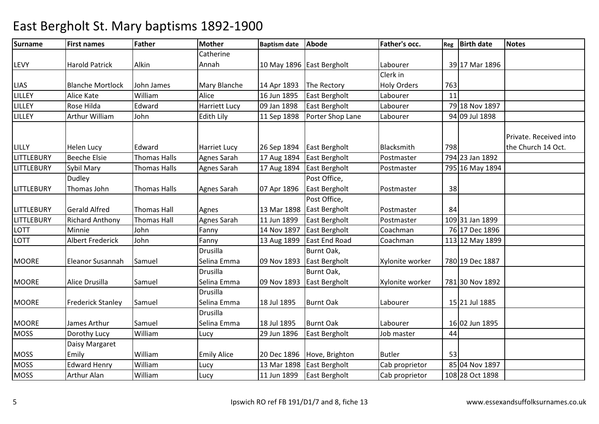| <b>Surname</b>    | <b>First names</b>       | <b>Father</b>       | <b>Mother</b>        | <b>Baptism date</b> | <b>Abode</b>              | Father's occ.      |     | Reg   Birth date | <b>Notes</b>           |
|-------------------|--------------------------|---------------------|----------------------|---------------------|---------------------------|--------------------|-----|------------------|------------------------|
|                   |                          |                     | Catherine            |                     |                           |                    |     |                  |                        |
| LEVY              | <b>Harold Patrick</b>    | Alkin               | Annah                |                     | 10 May 1896 East Bergholt | Labourer           |     | 39 17 Mar 1896   |                        |
|                   |                          |                     |                      |                     |                           | Clerk in           |     |                  |                        |
| <b>LIAS</b>       | <b>Blanche Mortlock</b>  | John James          | Mary Blanche         | 14 Apr 1893         | The Rectory               | <b>Holy Orders</b> | 763 |                  |                        |
| <b>LILLEY</b>     | <b>Alice Kate</b>        | William             | Alice                | 16 Jun 1895         | East Bergholt             | Labourer           | 11  |                  |                        |
| <b>LILLEY</b>     | Rose Hilda               | Edward              | <b>Harriett Lucy</b> | 09 Jan 1898         | East Bergholt             | Labourer           |     | 79 18 Nov 1897   |                        |
| <b>LILLEY</b>     | Arthur William           | John                | Edith Lily           | 11 Sep 1898         | Porter Shop Lane          | Labourer           |     | 94 09 Jul 1898   |                        |
|                   |                          |                     |                      |                     |                           |                    |     |                  |                        |
|                   |                          |                     |                      |                     |                           |                    |     |                  | Private. Received into |
| LILLY             | <b>Helen Lucy</b>        | Edward              | <b>Harriet Lucy</b>  | 26 Sep 1894         | East Bergholt             | Blacksmith         | 798 |                  | the Church 14 Oct.     |
| <b>LITTLEBURY</b> | <b>Beeche Elsie</b>      | <b>Thomas Halls</b> | Agnes Sarah          | 17 Aug 1894         | East Bergholt             | Postmaster         |     | 794 23 Jan 1892  |                        |
| <b>LITTLEBURY</b> | Sybil Mary               | <b>Thomas Halls</b> | Agnes Sarah          | 17 Aug 1894         | East Bergholt             | Postmaster         |     | 795 16 May 1894  |                        |
|                   | Dudley                   |                     |                      |                     | Post Office,              |                    |     |                  |                        |
| <b>LITTLEBURY</b> | Thomas John              | <b>Thomas Halls</b> | Agnes Sarah          | 07 Apr 1896         | East Bergholt             | Postmaster         | 38  |                  |                        |
|                   |                          |                     |                      |                     | Post Office,              |                    |     |                  |                        |
| <b>LITTLEBURY</b> | <b>Gerald Alfred</b>     | <b>Thomas Hall</b>  | Agnes                | 13 Mar 1898         | East Bergholt             | Postmaster         | 84  |                  |                        |
| <b>LITTLEBURY</b> | <b>Richard Anthony</b>   | <b>Thomas Hall</b>  | Agnes Sarah          | 11 Jun 1899         | East Bergholt             | Postmaster         |     | 109 31 Jan 1899  |                        |
| <b>LOTT</b>       | Minnie                   | John                | Fanny                | 14 Nov 1897         | East Bergholt             | Coachman           |     | 76 17 Dec 1896   |                        |
| <b>LOTT</b>       | <b>Albert Frederick</b>  | John                | Fanny                | 13 Aug 1899         | <b>East End Road</b>      | Coachman           |     | 113 12 May 1899  |                        |
|                   |                          |                     | <b>Drusilla</b>      |                     | Burnt Oak,                |                    |     |                  |                        |
| <b>MOORE</b>      | Eleanor Susannah         | Samuel              | Selina Emma          | 09 Nov 1893         | East Bergholt             | Xylonite worker    |     | 780 19 Dec 1887  |                        |
|                   |                          |                     | Drusilla             |                     | Burnt Oak,                |                    |     |                  |                        |
| <b>MOORE</b>      | Alice Drusilla           | Samuel              | Selina Emma          | 09 Nov 1893         | East Bergholt             | Xylonite worker    |     | 781 30 Nov 1892  |                        |
|                   |                          |                     | <b>Drusilla</b>      |                     |                           |                    |     |                  |                        |
| <b>MOORE</b>      | <b>Frederick Stanley</b> | Samuel              | Selina Emma          | 18 Jul 1895         | <b>Burnt Oak</b>          | Labourer           |     | 15 21 Jul 1885   |                        |
|                   |                          |                     | <b>Drusilla</b>      |                     |                           |                    |     |                  |                        |
| <b>MOORE</b>      | James Arthur             | Samuel              | Selina Emma          | 18 Jul 1895         | <b>Burnt Oak</b>          | Labourer           |     | 16 02 Jun 1895   |                        |
| <b>MOSS</b>       | Dorothy Lucy             | William             | Lucy                 | 29 Jun 1896         | East Bergholt             | Job master         | 44  |                  |                        |
|                   | Daisy Margaret           |                     |                      |                     |                           |                    |     |                  |                        |
| <b>MOSS</b>       | Emily                    | William             | <b>Emily Alice</b>   | 20 Dec 1896         | Hove, Brighton            | <b>Butler</b>      | 53  |                  |                        |
| <b>MOSS</b>       | <b>Edward Henry</b>      | William             | Lucy                 | 13 Mar 1898         | East Bergholt             | Cab proprietor     |     | 85 04 Nov 1897   |                        |
| <b>MOSS</b>       | Arthur Alan              | William             | Lucy                 | 11 Jun 1899         | East Bergholt             | Cab proprietor     |     | 108 28 Oct 1898  |                        |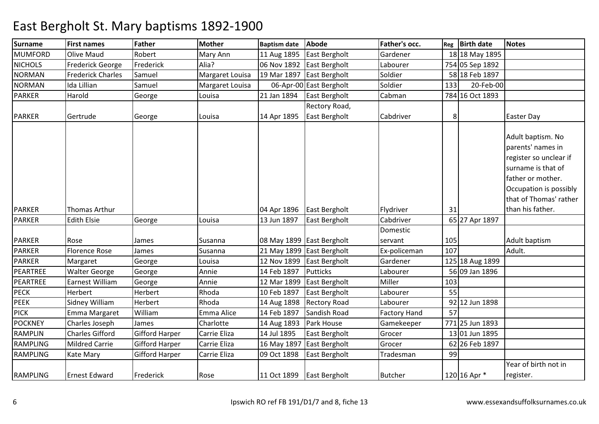| <b>Surname</b>  | <b>First names</b>       | <b>Father</b>         | <b>Mother</b>   | <b>Baptism date</b> | <b>Abode</b>              | Father's occ.       | Reg | <b>Birth date</b> | <b>Notes</b>                                                                                                                                                    |
|-----------------|--------------------------|-----------------------|-----------------|---------------------|---------------------------|---------------------|-----|-------------------|-----------------------------------------------------------------------------------------------------------------------------------------------------------------|
| <b>MUMFORD</b>  | Olive Maud               | Robert                | Mary Ann        | 11 Aug 1895         | East Bergholt             | Gardener            |     | 18 18 May 1895    |                                                                                                                                                                 |
| <b>NICHOLS</b>  | <b>Frederick George</b>  | Frederick             | Alia?           | 06 Nov 1892         | East Bergholt             | Labourer            |     | 754 05 Sep 1892   |                                                                                                                                                                 |
| <b>NORMAN</b>   | <b>Frederick Charles</b> | Samuel                | Margaret Louisa | 19 Mar 1897         | East Bergholt             | Soldier             |     | 58 18 Feb 1897    |                                                                                                                                                                 |
| <b>NORMAN</b>   | Ida Lillian              | Samuel                | Margaret Louisa |                     | 06-Apr-00 East Bergholt   | Soldier             | 133 | 20-Feb-00         |                                                                                                                                                                 |
| <b>PARKER</b>   | Harold                   | George                | Louisa          | 21 Jan 1894         | East Bergholt             | Cabman              |     | 784 16 Oct 1893   |                                                                                                                                                                 |
|                 |                          |                       |                 |                     | Rectory Road,             |                     |     |                   |                                                                                                                                                                 |
| <b>PARKER</b>   | Gertrude                 | George                | Louisa          | 14 Apr 1895         | East Bergholt             | Cabdriver           | 8   |                   | <b>Easter Day</b>                                                                                                                                               |
|                 |                          |                       |                 |                     |                           |                     |     |                   | Adult baptism. No<br>parents' names in<br>register so unclear if<br>surname is that of<br>father or mother.<br>Occupation is possibly<br>that of Thomas' rather |
| <b>PARKER</b>   | <b>Thomas Arthur</b>     |                       |                 | 04 Apr 1896         | East Bergholt             | Flydriver           | 31  |                   | than his father.                                                                                                                                                |
| <b>PARKER</b>   | <b>Edith Elsie</b>       | George                | Louisa          | 13 Jun 1897         | East Bergholt             | Cabdriver           |     | 65 27 Apr 1897    |                                                                                                                                                                 |
|                 |                          |                       |                 |                     |                           | Domestic            |     |                   |                                                                                                                                                                 |
| <b>PARKER</b>   | Rose                     | James                 | Susanna         |                     | 08 May 1899 East Bergholt | servant             | 105 |                   | Adult baptism                                                                                                                                                   |
| <b>PARKER</b>   | <b>Florence Rose</b>     | James                 | Susanna         |                     | 21 May 1899 East Bergholt | Ex-policeman        | 107 |                   | Adult.                                                                                                                                                          |
| <b>PARKER</b>   | Margaret                 | George                | Louisa          | 12 Nov 1899         | East Bergholt             | Gardener            |     | 125 18 Aug 1899   |                                                                                                                                                                 |
| PEARTREE        | <b>Walter George</b>     | George                | Annie           | 14 Feb 1897         | <b>Putticks</b>           | Labourer            |     | 56 09 Jan 1896    |                                                                                                                                                                 |
| PEARTREE        | Earnest William          | George                | Annie           | 12 Mar 1899         | East Bergholt             | Miller              | 103 |                   |                                                                                                                                                                 |
| <b>PECK</b>     | Herbert                  | Herbert               | Rhoda           | 10 Feb 1897         | East Bergholt             | Labourer            | 55  |                   |                                                                                                                                                                 |
| <b>PEEK</b>     | Sidney William           | Herbert               | Rhoda           | 14 Aug 1898         | <b>Rectory Road</b>       | Labourer            | 92  | 12 Jun 1898       |                                                                                                                                                                 |
| <b>PICK</b>     | Emma Margaret            | William               | Emma Alice      | 14 Feb 1897         | Sandish Road              | <b>Factory Hand</b> | 57  |                   |                                                                                                                                                                 |
| <b>POCKNEY</b>  | Charles Joseph           | James                 | Charlotte       | 14 Aug 1893         | Park House                | Gamekeeper          |     | 771 25 Jun 1893   |                                                                                                                                                                 |
| <b>RAMPLIN</b>  | <b>Charles Gifford</b>   | <b>Gifford Harper</b> | Carrie Eliza    | 14 Jul 1895         | East Bergholt             | Grocer              |     | 13 01 Jun 1895    |                                                                                                                                                                 |
| <b>RAMPLING</b> | <b>Mildred Carrie</b>    | <b>Gifford Harper</b> | Carrie Eliza    | 16 May 1897         | East Bergholt             | Grocer              |     | 62 26 Feb 1897    |                                                                                                                                                                 |
| <b>RAMPLING</b> | Kate Mary                | <b>Gifford Harper</b> | Carrie Eliza    | 09 Oct 1898         | East Bergholt             | Tradesman           | 99  |                   |                                                                                                                                                                 |
| <b>RAMPLING</b> | <b>Ernest Edward</b>     | Frederick             | Rose            |                     | 11 Oct 1899 East Bergholt | <b>Butcher</b>      |     | 120 16 Apr *      | Year of birth not in<br>register.                                                                                                                               |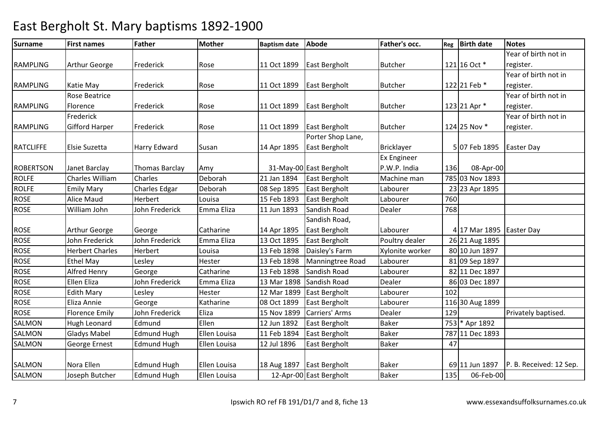| <b>Surname</b>   | <b>First names</b>     | Father               | <b>Mother</b> | <b>Baptism date</b> | <b>Abode</b>            | Father's occ.     | Reg | <b>Birth date</b>        | <b>Notes</b>            |
|------------------|------------------------|----------------------|---------------|---------------------|-------------------------|-------------------|-----|--------------------------|-------------------------|
|                  |                        |                      |               |                     |                         |                   |     |                          | Year of birth not in    |
| <b>RAMPLING</b>  | Arthur George          | Frederick            | Rose          | 11 Oct 1899         | East Bergholt           | <b>Butcher</b>    |     | 121 16 Oct *             | register.               |
|                  |                        |                      |               |                     |                         |                   |     |                          | Year of birth not in    |
| <b>RAMPLING</b>  | Katie May              | Frederick            | Rose          | 11 Oct 1899         | East Bergholt           | <b>Butcher</b>    |     | 122 21 Feb *             | register.               |
|                  | <b>Rose Beatrice</b>   |                      |               |                     |                         |                   |     |                          | Year of birth not in    |
| <b>RAMPLING</b>  | Florence               | Frederick            | Rose          | 11 Oct 1899         | East Bergholt           | <b>Butcher</b>    |     | 123 21 Apr *             | register.               |
|                  | Frederick              |                      |               |                     |                         |                   |     |                          | Year of birth not in    |
| <b>RAMPLING</b>  | <b>Gifford Harper</b>  | Frederick            | Rose          | 11 Oct 1899         | <b>East Bergholt</b>    | <b>Butcher</b>    |     | 124 25 Nov *             | register.               |
|                  |                        |                      |               |                     | Porter Shop Lane,       |                   |     |                          |                         |
| <b>RATCLIFFE</b> | Elsie Suzetta          | Harry Edward         | Susan         | 14 Apr 1895         | East Bergholt           | <b>Bricklayer</b> |     | 507 Feb 1895             | <b>Easter Day</b>       |
|                  |                        |                      |               |                     |                         | Ex Engineer       |     |                          |                         |
| <b>ROBERTSON</b> | Janet Barclay          | Thomas Barclay       | Amy           |                     | 31-May-00 East Bergholt | P.W.P. India      | 136 | 08-Apr-00                |                         |
| <b>ROLFE</b>     | Charles William        | <b>Charles</b>       | Deborah       | 21 Jan 1894         | East Bergholt           | Machine man       |     | 785 03 Nov 1893          |                         |
| <b>ROLFE</b>     | <b>Emily Mary</b>      | <b>Charles Edgar</b> | Deborah       | 08 Sep 1895         | <b>East Bergholt</b>    | Labourer          |     | 23 23 Apr 1895           |                         |
| <b>ROSE</b>      | <b>Alice Maud</b>      | Herbert              | Louisa        | 15 Feb 1893         | East Bergholt           | Labourer          | 760 |                          |                         |
| <b>ROSE</b>      | William John           | John Frederick       | Emma Eliza    | 11 Jun 1893         | Sandish Road            | Dealer            | 768 |                          |                         |
|                  |                        |                      |               |                     | Sandish Road,           |                   |     |                          |                         |
| <b>ROSE</b>      | Arthur George          | George               | Catharine     | 14 Apr 1895         | East Bergholt           | Labourer          |     | 4 17 Mar 1895 Easter Day |                         |
| <b>ROSE</b>      | John Frederick         | John Frederick       | Emma Eliza    | 13 Oct 1895         | East Bergholt           | Poultry dealer    |     | 26 21 Aug 1895           |                         |
| <b>ROSE</b>      | <b>Herbert Charles</b> | Herbert              | Louisa        | 13 Feb 1898         | Daisley's Farm          | Xylonite worker   |     | 80 10 Jun 1897           |                         |
| <b>ROSE</b>      | <b>Ethel May</b>       | Lesley               | Hester        | 13 Feb 1898         | Manningtree Road        | Labourer          |     | 81 09 Sep 1897           |                         |
| <b>ROSE</b>      | Alfred Henry           | George               | Catharine     | 13 Feb 1898         | Sandish Road            | Labourer          |     | 82 11 Dec 1897           |                         |
| <b>ROSE</b>      | Ellen Eliza            | John Frederick       | Emma Eliza    | 13 Mar 1898         | Sandish Road            | Dealer            |     | 86 03 Dec 1897           |                         |
| <b>ROSE</b>      | <b>Edith Mary</b>      | Lesley               | Hester        | 12 Mar 1899         | East Bergholt           | Labourer          | 102 |                          |                         |
| <b>ROSE</b>      | Eliza Annie            | George               | Katharine     | 08 Oct 1899         | East Bergholt           | Labourer          |     | 116 30 Aug 1899          |                         |
| <b>ROSE</b>      | <b>Florence Emily</b>  | John Frederick       | Eliza         | 15 Nov 1899         | Carriers' Arms          | Dealer            | 129 |                          | Privately baptised.     |
| <b>SALMON</b>    | Hugh Leonard           | Edmund               | Ellen         | 12 Jun 1892         | East Bergholt           | <b>Baker</b>      |     | 753 * Apr 1892           |                         |
| SALMON           | <b>Gladys Mabel</b>    | <b>Edmund Hugh</b>   | Ellen Louisa  | 11 Feb 1894         | East Bergholt           | <b>Baker</b>      |     | 787 11 Dec 1893          |                         |
| <b>SALMON</b>    | <b>George Ernest</b>   | <b>Edmund Hugh</b>   | Ellen Louisa  | 12 Jul 1896         | East Bergholt           | <b>Baker</b>      | 47  |                          |                         |
|                  |                        |                      |               |                     |                         |                   |     |                          |                         |
| <b>SALMON</b>    | Nora Ellen             | <b>Edmund Hugh</b>   | Ellen Louisa  | 18 Aug 1897         | East Bergholt           | <b>Baker</b>      |     | 69 11 Jun 1897           | P. B. Received: 12 Sep. |
| SALMON           | Joseph Butcher         | <b>Edmund Hugh</b>   | Ellen Louisa  |                     | 12-Apr-00 East Bergholt | <b>Baker</b>      | 135 | 06-Feb-00                |                         |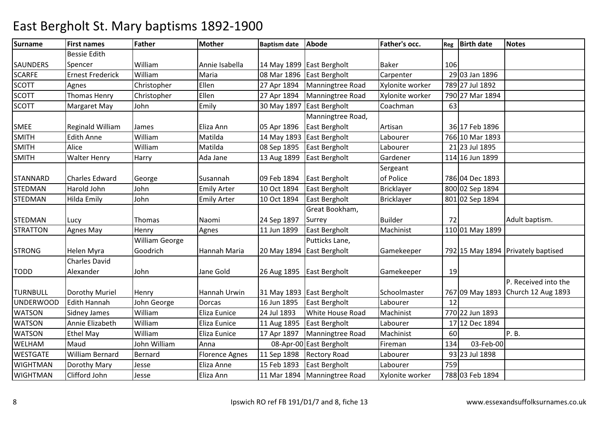| <b>Surname</b>   | <b>First names</b>      | <b>Father</b>         | <b>Mother</b>         | <b>Baptism date</b> | <b>Abode</b>              | Father's occ.     | Reg | <b>Birth date</b> | <b>Notes</b>                       |
|------------------|-------------------------|-----------------------|-----------------------|---------------------|---------------------------|-------------------|-----|-------------------|------------------------------------|
|                  | <b>Bessie Edith</b>     |                       |                       |                     |                           |                   |     |                   |                                    |
| <b>SAUNDERS</b>  | Spencer                 | William               | Annie Isabella        |                     | 14 May 1899 East Bergholt | <b>Baker</b>      | 106 |                   |                                    |
| <b>SCARFE</b>    | <b>Ernest Frederick</b> | William               | Maria                 | 08 Mar 1896         | East Bergholt             | Carpenter         |     | 29 03 Jan 1896    |                                    |
| <b>SCOTT</b>     | Agnes                   | Christopher           | Ellen                 | 27 Apr 1894         | Manningtree Road          | Xylonite worker   |     | 789 27 Jul 1892   |                                    |
| <b>SCOTT</b>     | <b>Thomas Henry</b>     | Christopher           | Ellen                 | 27 Apr 1894         | Manningtree Road          | Xylonite worker   |     | 790 27 Mar 1894   |                                    |
| <b>SCOTT</b>     | Margaret May            | John                  | Emily                 | 30 May 1897         | East Bergholt             | Coachman          | 63  |                   |                                    |
|                  |                         |                       |                       |                     | Manningtree Road,         |                   |     |                   |                                    |
| <b>SMEE</b>      | <b>Reginald William</b> | James                 | Eliza Ann             | 05 Apr 1896         | East Bergholt             | Artisan           |     | 36 17 Feb 1896    |                                    |
| <b>SMITH</b>     | <b>Edith Anne</b>       | William               | Matilda               | 14 May 1893         | East Bergholt             | Labourer          |     | 766 10 Mar 1893   |                                    |
| <b>SMITH</b>     | Alice                   | William               | Matilda               | 08 Sep 1895         | East Bergholt             | Labourer          |     | 21 23 Jul 1895    |                                    |
| <b>SMITH</b>     | <b>Walter Henry</b>     | Harry                 | Ada Jane              | 13 Aug 1899         | East Bergholt             | Gardener          |     | 114 16 Jun 1899   |                                    |
|                  |                         |                       |                       |                     |                           | Sergeant          |     |                   |                                    |
| <b>STANNARD</b>  | <b>Charles Edward</b>   | George                | Susannah              | 09 Feb 1894         | East Bergholt             | of Police         |     | 786 04 Dec 1893   |                                    |
| <b>STEDMAN</b>   | Harold John             | John                  | <b>Emily Arter</b>    | 10 Oct 1894         | East Bergholt             | <b>Bricklayer</b> |     | 800 02 Sep 1894   |                                    |
| <b>STEDMAN</b>   | Hilda Emily             | John                  | <b>Emily Arter</b>    | 10 Oct 1894         | East Bergholt             | <b>Bricklayer</b> |     | 801 02 Sep 1894   |                                    |
|                  |                         |                       |                       |                     | Great Bookham,            |                   |     |                   |                                    |
| <b>STEDMAN</b>   | Lucy                    | Thomas                | Naomi                 | 24 Sep 1897         | Surrey                    | <b>Builder</b>    | 72  |                   | Adult baptism.                     |
| <b>STRATTON</b>  | Agnes May               | Henry                 | Agnes                 | 11 Jun 1899         | East Bergholt             | Machinist         |     | 110 01 May 1899   |                                    |
|                  |                         | <b>William George</b> |                       |                     | Putticks Lane,            |                   |     |                   |                                    |
| <b>STRONG</b>    | Helen Myra              | Goodrich              | Hannah Maria          | 20 May 1894         | East Bergholt             | Gamekeeper        |     |                   | 792 15 May 1894 Privately baptised |
|                  | <b>Charles David</b>    |                       |                       |                     |                           |                   |     |                   |                                    |
| <b>TODD</b>      | Alexander               | John                  | Jane Gold             | 26 Aug 1895         | <b>East Bergholt</b>      | Gamekeeper        | 19  |                   |                                    |
|                  |                         |                       |                       |                     |                           |                   |     |                   | P. Received into the               |
| <b>TURNBULL</b>  | Dorothy Muriel          | Henry                 | Hannah Urwin          |                     | 31 May 1893 East Bergholt | Schoolmaster      |     |                   | 767 09 May 1893 Church 12 Aug 1893 |
| <b>UNDERWOOD</b> | <b>Edith Hannah</b>     | John George           | Dorcas                | 16 Jun 1895         | East Bergholt             | Labourer          | 12  |                   |                                    |
| <b>WATSON</b>    | Sidney James            | William               | Eliza Eunice          | 24 Jul 1893         | White House Road          | Machinist         |     | 770 22 Jun 1893   |                                    |
| <b>WATSON</b>    | Annie Elizabeth         | William               | Eliza Eunice          | 11 Aug 1895         | East Bergholt             | Labourer          |     | 17 12 Dec 1894    |                                    |
| <b>WATSON</b>    | <b>Ethel May</b>        | William               | Eliza Eunice          | 17 Apr 1897         | Manningtree Road          | Machinist         | 60  |                   | P.B.                               |
| WELHAM           | Maud                    | John William          | Anna                  |                     | 08-Apr-00 East Bergholt   | Fireman           | 134 | 03-Feb-00         |                                    |
| <b>WESTGATE</b>  | <b>William Bernard</b>  | Bernard               | <b>Florence Agnes</b> | 11 Sep 1898         | <b>Rectory Road</b>       | Labourer          |     | 93 23 Jul 1898    |                                    |
| <b>WIGHTMAN</b>  | Dorothy Mary            | Jesse                 | Eliza Anne            | 15 Feb 1893         | East Bergholt             | Labourer          | 759 |                   |                                    |
| <b>WIGHTMAN</b>  | Clifford John           | Jesse                 | Eliza Ann             | 11 Mar 1894         | Manningtree Road          | Xylonite worker   |     | 788 03 Feb 1894   |                                    |